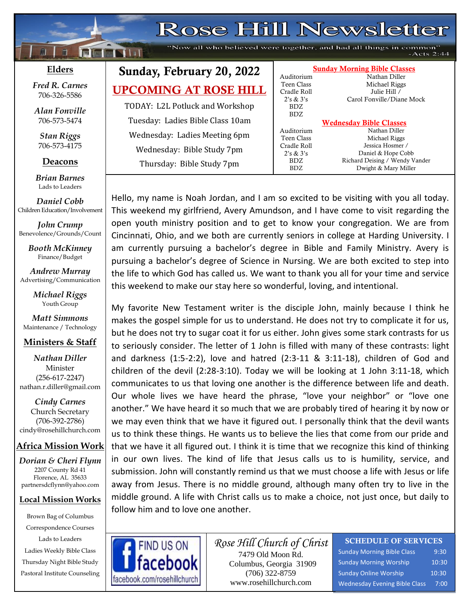| Rose Hill Newsletter<br>"Now all who believed were together, and had all things in common"<br>Ĥ<br><b>Truct it imm</b><br>$-Acts$ 2:44 |                                  |                                        |                                                            |  |  |  |  |  |
|----------------------------------------------------------------------------------------------------------------------------------------|----------------------------------|----------------------------------------|------------------------------------------------------------|--|--|--|--|--|
| Elders                                                                                                                                 | Sunday, February 20, 2022        | Auditorium                             | <b>Sunday Morning Bible Classes</b><br>Nathan Diller       |  |  |  |  |  |
| <b>Fred R. Carnes</b><br>706-326-5586                                                                                                  | <b>UPCOMING AT ROSE HILL</b>     | Teen Class<br>Cradle Roll<br>2's & 3's | Michael Riggs<br>Julie Hill /<br>Carol Fonville/Diane Mock |  |  |  |  |  |
| Alan Fonville                                                                                                                          | TODAY: L2L Potluck and Workshop  | BDZ.<br><b>BDZ</b>                     |                                                            |  |  |  |  |  |
| 706-573-5474                                                                                                                           | Tuesday: Ladies Bible Class 10am |                                        | <b>Wednesday Bible Classes</b>                             |  |  |  |  |  |
| <b>Stan Riggs</b>                                                                                                                      | Wednesday: Ladies Meeting 6pm    | Auditorium<br>Teen Class               | Nathan Diller<br>Michael Riggs                             |  |  |  |  |  |
| 706-573-4175                                                                                                                           | Wednesday: Bible Study 7pm       | Cradle Roll<br>2's & 3's               | Jessica Hosmer /<br>Daniel & Hope Cobb                     |  |  |  |  |  |
| Deacons                                                                                                                                | Thursday: Bible Study 7pm        | BDZ.<br>BDZ.                           | Richard Deising / Wendy Vander<br>Dwight & Mary Miller     |  |  |  |  |  |
| <b>Brian Barnes</b>                                                                                                                    |                                  |                                        |                                                            |  |  |  |  |  |

Hello, my name is Noah Jordan, and I am so excited to be visiting with you all today. This weekend my girlfriend, Avery Amundson, and I have come to visit regarding the open youth ministry position and to get to know your congregation. We are from Cincinnati, Ohio, and we both are currently seniors in college at Harding University. I am currently pursuing a bachelor's degree in Bible and Family Ministry. Avery is pursuing a bachelor's degree of Science in Nursing. We are both excited to step into the life to which God has called us. We want to thank you all for your time and service this weekend to make our stay here so wonderful, loving, and intentional.

My favorite New Testament writer is the disciple John, mainly because I think he makes the gospel simple for us to understand. He does not try to complicate it for us, but he does not try to sugar coat it for us either. John gives some stark contrasts for us to seriously consider. The letter of 1 John is filled with many of these contrasts: light and darkness (1:5-2:2), love and hatred (2:3-11 & 3:11-18), children of God and children of the devil (2:28-3:10). Today we will be looking at 1 John 3:11-18, which communicates to us that loving one another is the difference between life and death. Our whole lives we have heard the phrase, "love your neighbor" or "love one another." We have heard it so much that we are probably tired of hearing it by now or we may even think that we have it figured out. I personally think that the devil wants us to think these things. He wants us to believe the lies that come from our pride and that we have it all figured out. I think it is time that we recognize this kind of thinking in our own lives. The kind of life that Jesus calls us to is humility, service, and submission. John will constantly remind us that we must choose a life with Jesus or life away from Jesus. There is no middle ground, although many often try to live in the middle ground. A life with Christ calls us to make a choice, not just once, but daily to follow him and to love one another.



*Rose Hill Church of Christ* 7479 Old Moon Rd. Columbus, Georgia 31909 (706) 322-8759 www.rosehillchurch.com

#### SCHEDULE OF SERVICES

Sunday Morning Bible Class 9:30 Sunday Morning Worship 10:30 Sunday Online Worship 10:30 Wednesday Evening Bible Class 7:00

#### *Matt Simmons* Maintenance / Technology

*Brian Barnes* Lads to Leaders *Daniel Cobb* Children Education/Involvement

*John Crump* Benevolence/Grounds/Count *Booth McKinney* Finance/Budget *Andrew Murray* Advertising/Communication *Michael Riggs* Youth Group

#### **Ministers & Staff**

*Nathan Diller* Minister (256-617-2247) nathan.r.diller@gmail.com

*Cindy Carnes* Church Secretary (706-392-2786) cindy@rosehillchurch.com

#### **Africa Mission Work**

*Dorian & Cheri Flynn* 2207 County Rd 41 Florence, AL 35633 [partnersdcflynn@yahoo.com](mailto:partnersdcflynn@yahoo.com)

#### **Local Mission Works**

Brown Bag of Columbus Correspondence Courses Lads to Leaders Ladies Weekly Bible Class Thursday Night Bible Study Pastoral Institute Counseling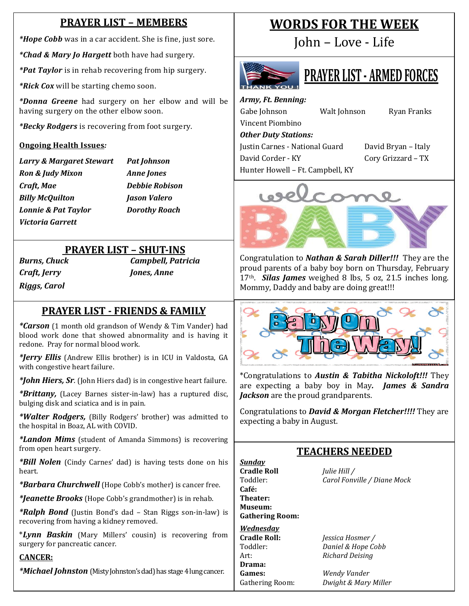## **PRAYER LIST – MEMBERS**

*\*Hope Cobb* was in a car accident. She is fine, just sore.

*\*Chad & Mary Jo Hargett* both have had surgery.

*\*Pat Taylor* is in rehab recovering from hip surgery.

*\*Rick Cox* will be starting chemo soon.

*\*Donna Greene* had surgery on her elbow and will be having surgery on the other elbow soon.

*\*Becky Rodgers* is recovering from foot surgery.

#### **Ongoing Health Issues***:*

*Larry & Margaret Stewart Pat Johnson Ron & Judy Mixon Anne Jones Craft, Mae Debbie Robison Billy McQuilton Jason Valero Lonnie & Pat Taylor Dorothy Roach Victoria Garrett*

### **PRAYER LIST – SHUT-INS**

*Craft, Jerry Jones, Anne Riggs, Carol*

*Burns, Chuck Campbell, Patricia*

#### **PRAYER LIST - FRIENDS & FAMILY**

*\*Carson* (1 month old grandson of Wendy & Tim Vander) had blood work done that showed abnormality and is having it redone. Pray for normal blood work.

*\*Jerry Ellis* (Andrew Ellis brother) is in ICU in Valdosta, GA with congestive heart failure.

*\*John Hiers, Sr.* (John Hiers dad) is in congestive heart failure.

*\*Brittany,* (Lacey Barnes sister-in-law) has a ruptured disc, bulging disk and sciatica and is in pain.

*\*Walter Rodgers,* (Billy Rodgers' brother) was admitted to the hospital in Boaz, AL with COVID.

*\*Landon Mims* (student of Amanda Simmons) is recovering from open heart surgery.

*\*Bill Nolen* (Cindy Carnes' dad) is having tests done on his heart.

*\*Barbara Churchwell* (Hope Cobb's mother) is cancer free.

*\*Jeanette Brooks* (Hope Cobb's grandmother) is in rehab.

*\*Ralph Bond* (Justin Bond's dad – Stan Riggs son-in-law) is recovering from having a kidney removed.

\**Lynn Baskin* (Mary Millers' cousin) is recovering from surgery for pancreatic cancer.

#### **CANCER:**

*\*Michael Johnston* (Misty Johnston's dad) has stage 4 lung cancer.

## **WORDS FOR THE WEEK**

John – Love - Life



# **PRAYER LIST - ARMED FORCES**

*Army, Ft. Benning:* Gabe Johnson Walt Johnson Ryan Franks Vincent Piombino *Other Duty Stations:* Justin Carnes - National Guard David Bryan – Italy David Corder - KY Cory Grizzard – TX

Hunter Howell – Ft. Campbell, KY

Congratulation to *Nathan & Sarah Diller!!!* They are the proud parents of a baby boy born on Thursday, February 17th. *Silas James* weighed 8 lbs, 5 oz, 21.5 inches long. Mommy, Daddy and baby are doing great!!!



\*Congratulations to *Austin & Tabitha Nickoloft!!!* They are expecting a baby boy in May*. James & Sandra Jackson* are the proud grandparents.

Congratulations to *David & Morgan Fletcher!!!!* They are expecting a baby in August.

## **TEACHERS NEEDED**

*Sunday* **Cradle Roll** *Julie Hill /*<br> **Toddler:** *Carol Fonv* **Café: Theater: Museum: Gathering Room:** *Wednesday*

**Drama:**

Carol Fonville / Diane Mock

**Cradle Roll:** *Jessica Hosmer /* Toddler: *Daniel & Hope Cobb* Art: *Richard Deising*

**Games:** *Wendy Vander* Gathering Room: *Dwight & Mary Miller*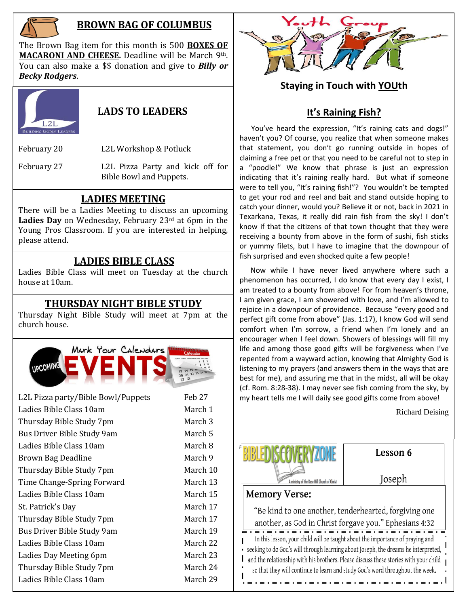

## **BROWN BAG OF COLUMBUS**

The Brown Bag item for this month is 500 **BOXES OF MACARONI AND CHEESE.** Deadline will be March 9th. You can also make a \$\$ donation and give to *Billy or Becky Rodgers*.



### **LADS TO LEADERS**

February 20 L2L Workshop & Potluck

February 27 L2L Pizza Party and kick off for Bible Bowl and Puppets.

### **LADIES MEETING**

There will be a Ladies Meeting to discuss an upcoming Ladies Day on Wednesday, February 23<sup>rd</sup> at 6pm in the Young Pros Classroom. If you are interested in helping, please attend.

## **LADIES BIBLE CLASS**

Ladies Bible Class will meet on Tuesday at the church house at 10am.

#### **THURSDAY NIGHT BIBLE STUDY**

Thursday Night Bible Study will meet at 7pm at the church house.



| L2L Pizza party/Bible Bowl/Puppets | Feb 27   |
|------------------------------------|----------|
| Ladies Bible Class 10am            | March 1  |
| Thursday Bible Study 7pm           | March 3  |
| Bus Driver Bible Study 9am         | March 5  |
| Ladies Bible Class 10am            | March 8  |
| Brown Bag Deadline                 | March 9  |
| Thursday Bible Study 7pm           | March 10 |
| Time Change-Spring Forward         | March 13 |
| Ladies Bible Class 10am            | March 15 |
| St. Patrick's Day                  | March 17 |
| Thursday Bible Study 7pm           | March 17 |
| Bus Driver Bible Study 9am         | March 19 |
| Ladies Bible Class 10am            | March 22 |
| Ladies Day Meeting 6pm             | March 23 |
| Thursday Bible Study 7pm           | March 24 |
| Ladies Bible Class 10am            | March 29 |
|                                    |          |



## **Staying in Touch with YOUth**

## **It's Raining Fish?**

You've heard the expression, "It's raining cats and dogs!" haven't you? Of course, you realize that when someone makes that statement, you don't go running outside in hopes of claiming a free pet or that you need to be careful not to step in a "poodle!" We know that phrase is just an expression indicating that it's raining really hard. But what if someone were to tell you, "It's raining fish!"? You wouldn't be tempted to get your rod and reel and bait and stand outside hoping to catch your dinner, would you? Believe it or not, back in 2021 in Texarkana, Texas, it really did rain fish from the sky! I don't know if that the citizens of that town thought that they were receiving a bounty from above in the form of sushi, fish sticks or yummy filets, but I have to imagine that the downpour of fish surprised and even shocked quite a few people!

 Now while I have never lived anywhere where such a phenomenon has occurred, I do know that every day I exist, I am treated to a bounty from above! For from heaven's throne, I am given grace, I am showered with love, and I'm allowed to rejoice in a downpour of providence. Because "every good and perfect gift come from above" (Jas. 1:17), I know God will send comfort when I'm sorrow, a friend when I'm lonely and an encourager when I feel down. Showers of blessings will fill my life and among those good gifts will be forgiveness when I've repented from a wayward action, knowing that Almighty God is listening to my prayers (and answers them in the ways that are best for me), and assuring me that in the midst, all will be okay (cf. Rom. 8:28-38). I may never see fish coming from the sky, by my heart tells me I will daily see good gifts come from above!

Richard Deising